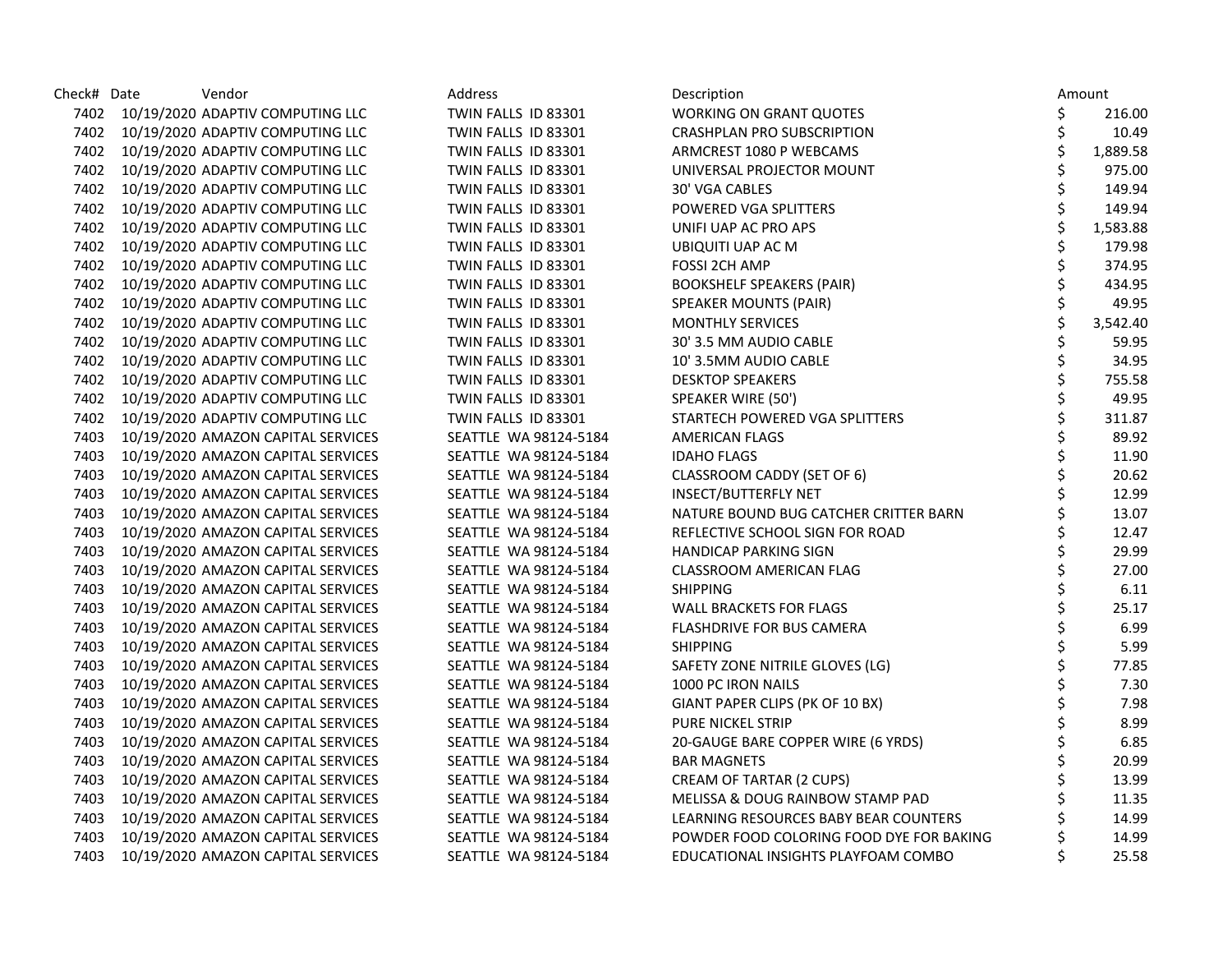| Check# Date | Vendor                                  | Address               | Description                              | Amount         |
|-------------|-----------------------------------------|-----------------------|------------------------------------------|----------------|
|             | 7402 10/19/2020 ADAPTIV COMPUTING LLC   | TWIN FALLS ID 83301   | <b>WORKING ON GRANT QUOTES</b>           | \$<br>216.00   |
|             | 7402 10/19/2020 ADAPTIV COMPUTING LLC   | TWIN FALLS ID 83301   | <b>CRASHPLAN PRO SUBSCRIPTION</b>        | \$<br>10.49    |
|             | 7402 10/19/2020 ADAPTIV COMPUTING LLC   | TWIN FALLS ID 83301   | ARMCREST 1080 P WEBCAMS                  | \$<br>1,889.58 |
| 7402        | 10/19/2020 ADAPTIV COMPUTING LLC        | TWIN FALLS ID 83301   | UNIVERSAL PROJECTOR MOUNT                | \$<br>975.00   |
|             | 7402 10/19/2020 ADAPTIV COMPUTING LLC   | TWIN FALLS ID 83301   | 30' VGA CABLES                           | \$<br>149.94   |
| 7402        | 10/19/2020 ADAPTIV COMPUTING LLC        | TWIN FALLS ID 83301   | POWERED VGA SPLITTERS                    | 149.94         |
| 7402        | 10/19/2020 ADAPTIV COMPUTING LLC        | TWIN FALLS ID 83301   | UNIFI UAP AC PRO APS                     | 1,583.88       |
|             | 7402 10/19/2020 ADAPTIV COMPUTING LLC   | TWIN FALLS ID 83301   | UBIQUITI UAP AC M                        | 179.98         |
| 7402        | 10/19/2020 ADAPTIV COMPUTING LLC        | TWIN FALLS ID 83301   | <b>FOSSI 2CH AMP</b>                     | 374.95         |
| 7402        | 10/19/2020 ADAPTIV COMPUTING LLC        | TWIN FALLS ID 83301   | <b>BOOKSHELF SPEAKERS (PAIR)</b>         | \$<br>434.95   |
|             | 7402 10/19/2020 ADAPTIV COMPUTING LLC   | TWIN FALLS ID 83301   | <b>SPEAKER MOUNTS (PAIR)</b>             | \$<br>49.95    |
|             | 7402 10/19/2020 ADAPTIV COMPUTING LLC   | TWIN FALLS ID 83301   | <b>MONTHLY SERVICES</b>                  | 3,542.40       |
| 7402        | 10/19/2020 ADAPTIV COMPUTING LLC        | TWIN FALLS ID 83301   | 30' 3.5 MM AUDIO CABLE                   | 59.95          |
|             | 7402 10/19/2020 ADAPTIV COMPUTING LLC   | TWIN FALLS ID 83301   | 10' 3.5MM AUDIO CABLE                    | \$<br>34.95    |
| 7402        | 10/19/2020 ADAPTIV COMPUTING LLC        | TWIN FALLS ID 83301   | <b>DESKTOP SPEAKERS</b>                  | \$<br>755.58   |
| 7402        | 10/19/2020 ADAPTIV COMPUTING LLC        | TWIN FALLS ID 83301   | SPEAKER WIRE (50')                       | \$<br>49.95    |
|             | 7402 10/19/2020 ADAPTIV COMPUTING LLC   | TWIN FALLS ID 83301   | STARTECH POWERED VGA SPLITTERS           | \$<br>311.87   |
| 7403        | 10/19/2020 AMAZON CAPITAL SERVICES      | SEATTLE WA 98124-5184 | <b>AMERICAN FLAGS</b>                    | 89.92          |
|             | 7403 10/19/2020 AMAZON CAPITAL SERVICES | SEATTLE WA 98124-5184 | <b>IDAHO FLAGS</b>                       | 11.90          |
| 7403        | 10/19/2020 AMAZON CAPITAL SERVICES      | SEATTLE WA 98124-5184 | CLASSROOM CADDY (SET OF 6)               | 20.62          |
| 7403        | 10/19/2020 AMAZON CAPITAL SERVICES      | SEATTLE WA 98124-5184 | <b>INSECT/BUTTERFLY NET</b>              | 12.99          |
| 7403        | 10/19/2020 AMAZON CAPITAL SERVICES      | SEATTLE WA 98124-5184 | NATURE BOUND BUG CATCHER CRITTER BARN    | 13.07          |
|             | 7403 10/19/2020 AMAZON CAPITAL SERVICES | SEATTLE WA 98124-5184 | REFLECTIVE SCHOOL SIGN FOR ROAD          | 12.47          |
| 7403        | 10/19/2020 AMAZON CAPITAL SERVICES      | SEATTLE WA 98124-5184 | <b>HANDICAP PARKING SIGN</b>             | 29.99          |
| 7403        | 10/19/2020 AMAZON CAPITAL SERVICES      | SEATTLE WA 98124-5184 | CLASSROOM AMERICAN FLAG                  | 27.00          |
| 7403        | 10/19/2020 AMAZON CAPITAL SERVICES      | SEATTLE WA 98124-5184 | <b>SHIPPING</b>                          | 6.11           |
| 7403        | 10/19/2020 AMAZON CAPITAL SERVICES      | SEATTLE WA 98124-5184 | <b>WALL BRACKETS FOR FLAGS</b>           | 25.17          |
| 7403        | 10/19/2020 AMAZON CAPITAL SERVICES      | SEATTLE WA 98124-5184 | <b>FLASHDRIVE FOR BUS CAMERA</b>         | \$<br>6.99     |
| 7403        | 10/19/2020 AMAZON CAPITAL SERVICES      | SEATTLE WA 98124-5184 | <b>SHIPPING</b>                          | 5.99           |
| 7403        | 10/19/2020 AMAZON CAPITAL SERVICES      | SEATTLE WA 98124-5184 | SAFETY ZONE NITRILE GLOVES (LG)          | 77.85          |
| 7403        | 10/19/2020 AMAZON CAPITAL SERVICES      | SEATTLE WA 98124-5184 | 1000 PC IRON NAILS                       | 7.30           |
| 7403        | 10/19/2020 AMAZON CAPITAL SERVICES      | SEATTLE WA 98124-5184 | GIANT PAPER CLIPS (PK OF 10 BX)          | 7.98           |
| 7403        | 10/19/2020 AMAZON CAPITAL SERVICES      | SEATTLE WA 98124-5184 | PURE NICKEL STRIP                        | 8.99           |
| 7403        | 10/19/2020 AMAZON CAPITAL SERVICES      | SEATTLE WA 98124-5184 | 20-GAUGE BARE COPPER WIRE (6 YRDS)       | \$<br>6.85     |
| 7403        | 10/19/2020 AMAZON CAPITAL SERVICES      | SEATTLE WA 98124-5184 | <b>BAR MAGNETS</b>                       | 20.99          |
| 7403        | 10/19/2020 AMAZON CAPITAL SERVICES      | SEATTLE WA 98124-5184 | CREAM OF TARTAR (2 CUPS)                 | 13.99          |
| 7403        | 10/19/2020 AMAZON CAPITAL SERVICES      | SEATTLE WA 98124-5184 | MELISSA & DOUG RAINBOW STAMP PAD         | 11.35          |
| 7403        | 10/19/2020 AMAZON CAPITAL SERVICES      | SEATTLE WA 98124-5184 | LEARNING RESOURCES BABY BEAR COUNTERS    | 14.99          |
| 7403        | 10/19/2020 AMAZON CAPITAL SERVICES      | SEATTLE WA 98124-5184 | POWDER FOOD COLORING FOOD DYE FOR BAKING | 14.99          |
| 7403        | 10/19/2020 AMAZON CAPITAL SERVICES      | SEATTLE WA 98124-5184 | EDUCATIONAL INSIGHTS PLAYFOAM COMBO      | \$<br>25.58    |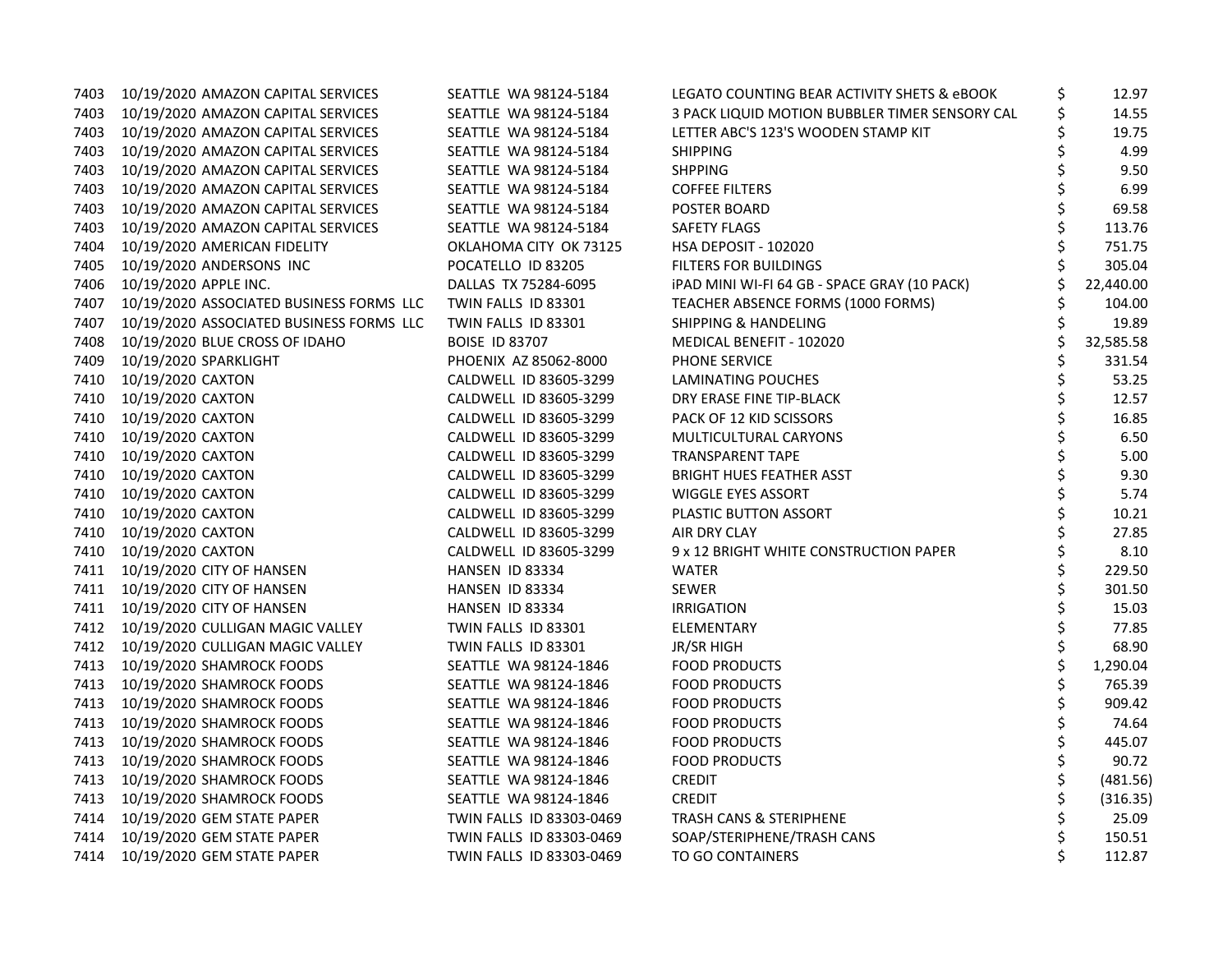| 7403 | 10/19/2020 AMAZON CAPITAL SERVICES       | SEATTLE WA 98124-5184    | LEGATO COUNTING BEAR ACTIVITY SHETS & eBOOK    | \$<br>12.97    |
|------|------------------------------------------|--------------------------|------------------------------------------------|----------------|
|      | 7403 10/19/2020 AMAZON CAPITAL SERVICES  | SEATTLE WA 98124-5184    | 3 PACK LIQUID MOTION BUBBLER TIMER SENSORY CAL | \$<br>14.55    |
| 7403 | 10/19/2020 AMAZON CAPITAL SERVICES       | SEATTLE WA 98124-5184    | LETTER ABC'S 123'S WOODEN STAMP KIT            | 19.75          |
| 7403 | 10/19/2020 AMAZON CAPITAL SERVICES       | SEATTLE WA 98124-5184    | <b>SHIPPING</b>                                | 4.99           |
| 7403 | 10/19/2020 AMAZON CAPITAL SERVICES       | SEATTLE WA 98124-5184    | <b>SHPPING</b>                                 | 9.50           |
| 7403 | 10/19/2020 AMAZON CAPITAL SERVICES       | SEATTLE WA 98124-5184    | <b>COFFEE FILTERS</b>                          | 6.99           |
| 7403 | 10/19/2020 AMAZON CAPITAL SERVICES       | SEATTLE WA 98124-5184    | POSTER BOARD                                   | 69.58          |
| 7403 | 10/19/2020 AMAZON CAPITAL SERVICES       | SEATTLE WA 98124-5184    | SAFETY FLAGS                                   | 113.76         |
| 7404 | 10/19/2020 AMERICAN FIDELITY             | OKLAHOMA CITY OK 73125   | HSA DEPOSIT - 102020                           | 751.75         |
| 7405 | 10/19/2020 ANDERSONS INC                 | POCATELLO ID 83205       | <b>FILTERS FOR BUILDINGS</b>                   | 305.04         |
| 7406 | 10/19/2020 APPLE INC.                    | DALLAS TX 75284-6095     | iPAD MINI WI-FI 64 GB - SPACE GRAY (10 PACK)   | 22,440.00      |
| 7407 | 10/19/2020 ASSOCIATED BUSINESS FORMS LLC | TWIN FALLS ID 83301      | TEACHER ABSENCE FORMS (1000 FORMS)             | 104.00         |
| 7407 | 10/19/2020 ASSOCIATED BUSINESS FORMS LLC | TWIN FALLS ID 83301      | <b>SHIPPING &amp; HANDELING</b>                | 19.89          |
| 7408 | 10/19/2020 BLUE CROSS OF IDAHO           | <b>BOISE ID 83707</b>    | MEDICAL BENEFIT - 102020                       | 32,585.58      |
| 7409 | 10/19/2020 SPARKLIGHT                    | PHOENIX AZ 85062-8000    | PHONE SERVICE                                  | 331.54         |
| 7410 | 10/19/2020 CAXTON                        | CALDWELL ID 83605-3299   | LAMINATING POUCHES                             | \$<br>53.25    |
| 7410 | 10/19/2020 CAXTON                        | CALDWELL ID 83605-3299   | DRY ERASE FINE TIP-BLACK                       | \$<br>12.57    |
| 7410 | 10/19/2020 CAXTON                        | CALDWELL ID 83605-3299   | PACK OF 12 KID SCISSORS                        | 16.85          |
| 7410 | 10/19/2020 CAXTON                        | CALDWELL ID 83605-3299   | MULTICULTURAL CARYONS                          | 6.50           |
| 7410 | 10/19/2020 CAXTON                        | CALDWELL ID 83605-3299   | TRANSPARENT TAPE                               | 5.00           |
| 7410 | 10/19/2020 CAXTON                        | CALDWELL ID 83605-3299   | <b>BRIGHT HUES FEATHER ASST</b>                | 9.30           |
| 7410 | 10/19/2020 CAXTON                        | CALDWELL ID 83605-3299   | <b>WIGGLE EYES ASSORT</b>                      | \$<br>5.74     |
| 7410 | 10/19/2020 CAXTON                        | CALDWELL ID 83605-3299   | PLASTIC BUTTON ASSORT                          | \$<br>10.21    |
| 7410 | 10/19/2020 CAXTON                        | CALDWELL ID 83605-3299   | AIR DRY CLAY                                   | 27.85          |
| 7410 | 10/19/2020 CAXTON                        | CALDWELL ID 83605-3299   | 9 x 12 BRIGHT WHITE CONSTRUCTION PAPER         | 8.10           |
|      | 7411 10/19/2020 CITY OF HANSEN           | HANSEN ID 83334          | <b>WATER</b>                                   | 229.50         |
| 7411 | 10/19/2020 CITY OF HANSEN                | HANSEN ID 83334          | <b>SEWER</b>                                   | \$<br>301.50   |
| 7411 | 10/19/2020 CITY OF HANSEN                | HANSEN ID 83334          | <b>IRRIGATION</b>                              | \$<br>15.03    |
|      | 7412 10/19/2020 CULLIGAN MAGIC VALLEY    | TWIN FALLS ID 83301      | ELEMENTARY                                     | \$<br>77.85    |
|      | 7412 10/19/2020 CULLIGAN MAGIC VALLEY    | TWIN FALLS ID 83301      | JR/SR HIGH                                     | \$<br>68.90    |
| 7413 | 10/19/2020 SHAMROCK FOODS                | SEATTLE WA 98124-1846    | <b>FOOD PRODUCTS</b>                           | \$<br>1,290.04 |
| 7413 | 10/19/2020 SHAMROCK FOODS                | SEATTLE WA 98124-1846    | <b>FOOD PRODUCTS</b>                           | \$<br>765.39   |
| 7413 | 10/19/2020 SHAMROCK FOODS                | SEATTLE WA 98124-1846    | <b>FOOD PRODUCTS</b>                           | \$<br>909.42   |
| 7413 | 10/19/2020 SHAMROCK FOODS                | SEATTLE WA 98124-1846    | <b>FOOD PRODUCTS</b>                           | \$<br>74.64    |
| 7413 | 10/19/2020 SHAMROCK FOODS                | SEATTLE WA 98124-1846    | <b>FOOD PRODUCTS</b>                           | \$<br>445.07   |
|      | 7413 10/19/2020 SHAMROCK FOODS           | SEATTLE WA 98124-1846    | <b>FOOD PRODUCTS</b>                           | 90.72          |
| 7413 | 10/19/2020 SHAMROCK FOODS                | SEATTLE WA 98124-1846    | <b>CREDIT</b>                                  | (481.56)       |
| 7413 | 10/19/2020 SHAMROCK FOODS                | SEATTLE WA 98124-1846    | <b>CREDIT</b>                                  | (316.35)       |
| 7414 | 10/19/2020 GEM STATE PAPER               | TWIN FALLS ID 83303-0469 | TRASH CANS & STERIPHENE                        | 25.09          |
| 7414 | 10/19/2020 GEM STATE PAPER               | TWIN FALLS ID 83303-0469 | SOAP/STERIPHENE/TRASH CANS                     | \$<br>150.51   |
|      | 7414 10/19/2020 GEM STATE PAPER          | TWIN FALLS ID 83303-0469 | TO GO CONTAINERS                               | \$<br>112.87   |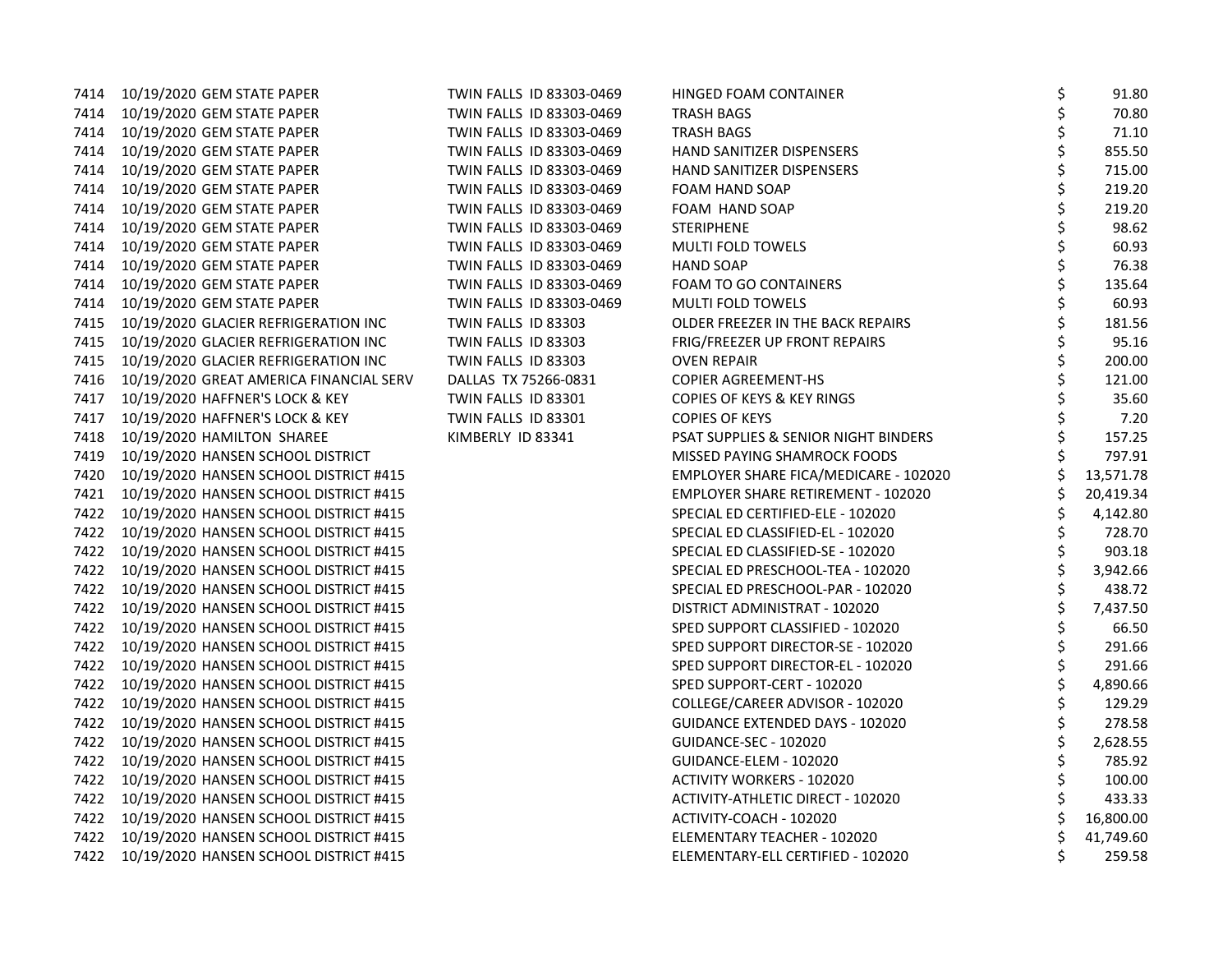| 7414 | 10/19/2020 GEM STATE PAPER                  | TWIN FALLS ID 83303-0469 | HINGED FOAM CONTAINER                           | \$<br>91.80  |
|------|---------------------------------------------|--------------------------|-------------------------------------------------|--------------|
| 7414 | 10/19/2020 GEM STATE PAPER                  | TWIN FALLS ID 83303-0469 | <b>TRASH BAGS</b>                               | 70.80        |
| 7414 | 10/19/2020 GEM STATE PAPER                  | TWIN FALLS ID 83303-0469 | TRASH BAGS                                      | 71.10        |
|      | 7414 10/19/2020 GEM STATE PAPER             | TWIN FALLS ID 83303-0469 | HAND SANITIZER DISPENSERS                       | 855.50       |
|      | 7414 10/19/2020 GEM STATE PAPER             | TWIN FALLS ID 83303-0469 | HAND SANITIZER DISPENSERS                       | 715.00       |
| 7414 | 10/19/2020 GEM STATE PAPER                  | TWIN FALLS ID 83303-0469 | FOAM HAND SOAP                                  | 219.20       |
| 7414 | 10/19/2020 GEM STATE PAPER                  | TWIN FALLS ID 83303-0469 | FOAM HAND SOAP                                  | 219.20       |
| 7414 | 10/19/2020 GEM STATE PAPER                  | TWIN FALLS ID 83303-0469 | <b>STERIPHENE</b>                               | 98.62        |
| 7414 | 10/19/2020 GEM STATE PAPER                  | TWIN FALLS ID 83303-0469 | MULTI FOLD TOWELS                               | 60.93        |
| 7414 | 10/19/2020 GEM STATE PAPER                  | TWIN FALLS ID 83303-0469 | <b>HAND SOAP</b>                                | 76.38        |
| 7414 | 10/19/2020 GEM STATE PAPER                  | TWIN FALLS ID 83303-0469 | <b>FOAM TO GO CONTAINERS</b>                    | 135.64       |
| 7414 | 10/19/2020 GEM STATE PAPER                  | TWIN FALLS ID 83303-0469 | MULTI FOLD TOWELS                               | 60.93        |
| 7415 | 10/19/2020 GLACIER REFRIGERATION INC        | TWIN FALLS ID 83303      | OLDER FREEZER IN THE BACK REPAIRS               | 181.56       |
| 7415 | 10/19/2020 GLACIER REFRIGERATION INC        | TWIN FALLS ID 83303      | FRIG/FREEZER UP FRONT REPAIRS                   | 95.16        |
| 7415 | 10/19/2020 GLACIER REFRIGERATION INC        | TWIN FALLS ID 83303      | <b>OVEN REPAIR</b>                              | 200.00       |
| 7416 | 10/19/2020 GREAT AMERICA FINANCIAL SERV     | DALLAS TX 75266-0831     | <b>COPIER AGREEMENT-HS</b>                      | 121.00       |
| 7417 | 10/19/2020 HAFFNER'S LOCK & KEY             | TWIN FALLS ID 83301      | <b>COPIES OF KEYS &amp; KEY RINGS</b>           | 35.60        |
| 7417 | 10/19/2020 HAFFNER'S LOCK & KEY             | TWIN FALLS ID 83301      | <b>COPIES OF KEYS</b>                           | 7.20         |
| 7418 | 10/19/2020 HAMILTON SHAREE                  | KIMBERLY ID 83341        | <b>PSAT SUPPLIES &amp; SENIOR NIGHT BINDERS</b> | 157.25       |
| 7419 | 10/19/2020 HANSEN SCHOOL DISTRICT           |                          | MISSED PAYING SHAMROCK FOODS                    | 797.91       |
| 7420 | 10/19/2020 HANSEN SCHOOL DISTRICT #415      |                          | EMPLOYER SHARE FICA/MEDICARE - 102020           | 13,571.78    |
|      | 7421 10/19/2020 HANSEN SCHOOL DISTRICT #415 |                          | EMPLOYER SHARE RETIREMENT - 102020              | 20,419.34    |
|      | 7422 10/19/2020 HANSEN SCHOOL DISTRICT #415 |                          | SPECIAL ED CERTIFIED-ELE - 102020               | 4,142.80     |
|      | 7422 10/19/2020 HANSEN SCHOOL DISTRICT #415 |                          | SPECIAL ED CLASSIFIED-EL - 102020               | 728.70       |
| 7422 | 10/19/2020 HANSEN SCHOOL DISTRICT #415      |                          | SPECIAL ED CLASSIFIED-SE - 102020               | \$<br>903.18 |
|      | 7422 10/19/2020 HANSEN SCHOOL DISTRICT #415 |                          | SPECIAL ED PRESCHOOL-TEA - 102020               | 3,942.66     |
|      | 7422 10/19/2020 HANSEN SCHOOL DISTRICT #415 |                          | SPECIAL ED PRESCHOOL-PAR - 102020               | 438.72       |
|      | 7422 10/19/2020 HANSEN SCHOOL DISTRICT #415 |                          | DISTRICT ADMINISTRAT - 102020                   | 7,437.50     |
|      | 7422 10/19/2020 HANSEN SCHOOL DISTRICT #415 |                          | SPED SUPPORT CLASSIFIED - 102020                | 66.50        |
| 7422 | 10/19/2020 HANSEN SCHOOL DISTRICT #415      |                          | SPED SUPPORT DIRECTOR-SE - 102020               | 291.66       |
| 7422 | 10/19/2020 HANSEN SCHOOL DISTRICT #415      |                          | SPED SUPPORT DIRECTOR-EL - 102020               | 291.66       |
|      | 7422 10/19/2020 HANSEN SCHOOL DISTRICT #415 |                          | SPED SUPPORT-CERT - 102020                      | 4,890.66     |
|      | 7422 10/19/2020 HANSEN SCHOOL DISTRICT #415 |                          | COLLEGE/CAREER ADVISOR - 102020                 | 129.29       |
|      | 7422 10/19/2020 HANSEN SCHOOL DISTRICT #415 |                          | <b>GUIDANCE EXTENDED DAYS - 102020</b>          | 278.58       |
| 7422 | 10/19/2020 HANSEN SCHOOL DISTRICT #415      |                          | <b>GUIDANCE-SEC - 102020</b>                    | 2,628.55     |
| 7422 | 10/19/2020 HANSEN SCHOOL DISTRICT #415      |                          | GUIDANCE-ELEM - 102020                          | 785.92       |
|      | 7422 10/19/2020 HANSEN SCHOOL DISTRICT #415 |                          | <b>ACTIVITY WORKERS - 102020</b>                | \$<br>100.00 |
|      | 7422 10/19/2020 HANSEN SCHOOL DISTRICT #415 |                          | ACTIVITY-ATHLETIC DIRECT - 102020               | 433.33       |
|      | 7422 10/19/2020 HANSEN SCHOOL DISTRICT #415 |                          | ACTIVITY-COACH - 102020                         | 16,800.00    |
|      | 7422 10/19/2020 HANSEN SCHOOL DISTRICT #415 |                          | ELEMENTARY TEACHER - 102020                     | 41,749.60    |
|      | 7422 10/19/2020 HANSEN SCHOOL DISTRICT #415 |                          | ELEMENTARY-ELL CERTIFIED - 102020               | \$<br>259.58 |
|      |                                             |                          |                                                 |              |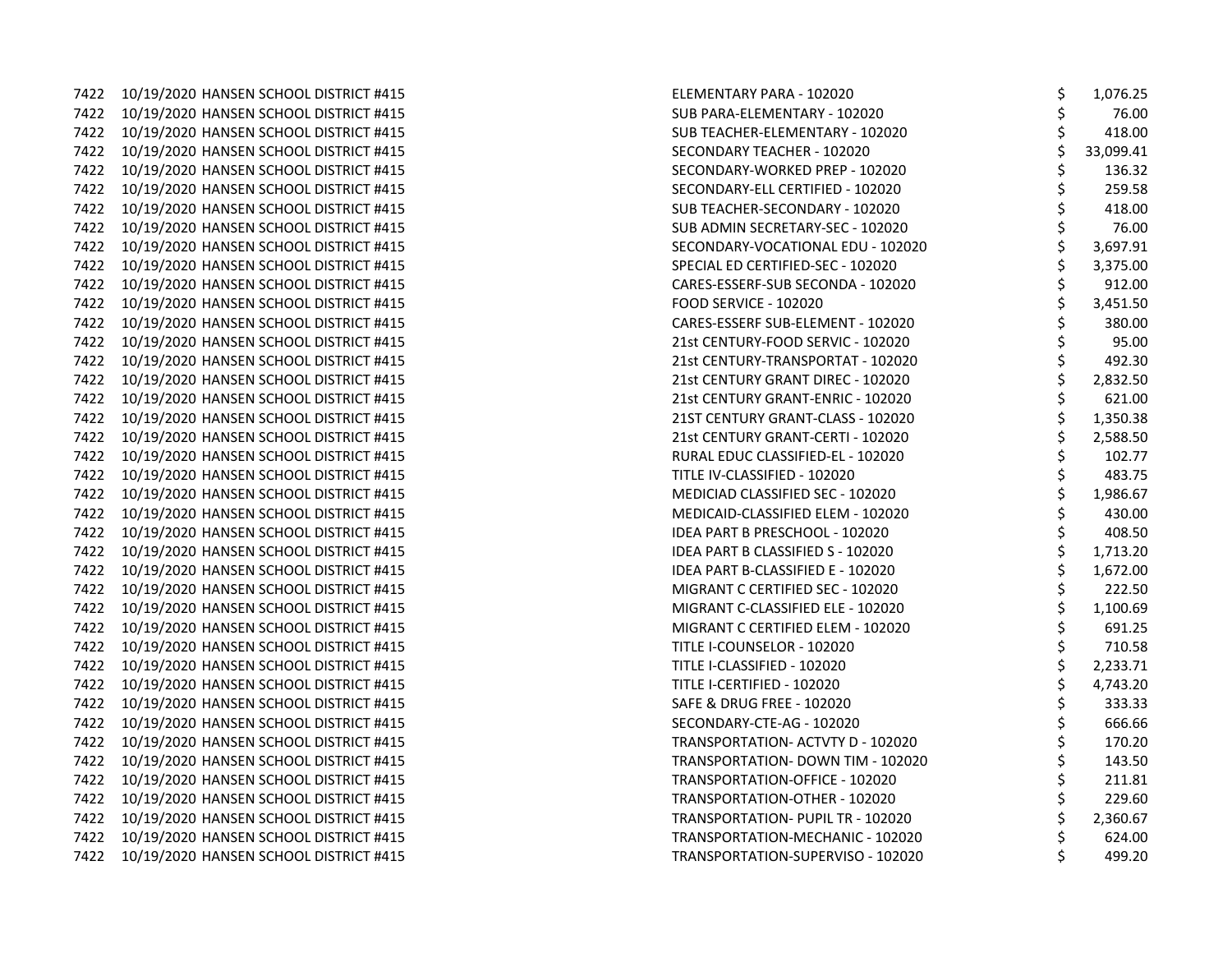7422 10/19/2020 HANSEN SCHOOL DISTRICT #415 7422 10/19/2020 HANSEN SCHOOL DISTRICT #415 7422 10/19/2020 HANSEN SCHOOL DISTRICT #415 7422 10/19/2020 HANSEN SCHOOL DISTRICT #415 7422 10/19/2020 HANSEN SCHOOL DISTRICT #415 7422 10/19/2020 HANSEN SCHOOL DISTRICT #415 7422 10/19/2020 HANSEN SCHOOL DISTRICT #415 7422 10/19/2020 HANSEN SCHOOL DISTRICT #415 7422 10/19/2020 HANSEN SCHOOL DISTRICT #415 7422 10/19/2020 HANSEN SCHOOL DISTRICT #415 7422 10/19/2020 HANSEN SCHOOL DISTRICT #415 7422 10/19/2020 HANSEN SCHOOL DISTRICT #415 7422 10/19/2020 HANSEN SCHOOL DISTRICT #415 7422 10/19/2020 HANSEN SCHOOL DISTRICT #415 7422 10/19/2020 HANSEN SCHOOL DISTRICT #415 7422 10/19/2020 HANSEN SCHOOL DISTRICT #415 7422 10/19/2020 HANSEN SCHOOL DISTRICT #415 7422 10/19/2020 HANSEN SCHOOL DISTRICT #415 7422 10/19/2020 HANSEN SCHOOL DISTRICT #415 7422 10/19/2020 HANSEN SCHOOL DISTRICT #415 7422 10/19/2020 HANSEN SCHOOL DISTRICT #415 7422 10/19/2020 HANSEN SCHOOL DISTRICT #415 7422 10/19/2020 HANSEN SCHOOL DISTRICT #415 7422 10/19/2020 HANSEN SCHOOL DISTRICT #415 7422 10/19/2020 HANSEN SCHOOL DISTRICT #415 7422 10/19/2020 HANSEN SCHOOL DISTRICT #415 7422 10/19/2020 HANSEN SCHOOL DISTRICT #415 7422 10/19/2020 HANSEN SCHOOL DISTRICT #415 7422 10/19/2020 HANSEN SCHOOL DISTRICT #415 7422 10/19/2020 HANSEN SCHOOL DISTRICT #415 7422 10/19/2020 HANSEN SCHOOL DISTRICT #415 7422 10/19/2020 HANSEN SCHOOL DISTRICT #415 7422 10/19/2020 HANSEN SCHOOL DISTRICT #415 7422 10/19/2020 HANSEN SCHOOL DISTRICT #415 7422 10/19/2020 HANSEN SCHOOL DISTRICT #415 7422 10/19/2020 HANSEN SCHOOL DISTRICT #415 7422 10/19/2020 HANSEN SCHOOL DISTRICT #415 7422 10/19/2020 HANSEN SCHOOL DISTRICT #415 7422 10/19/2020 HANSEN SCHOOL DISTRICT #415 7422 10/19/2020 HANSEN SCHOOL DISTRICT #415 7422 10/19/2020 HANSEN SCHOOL DISTRICT #415

| ELEMENTARY PARA - 102020                 | \$       | 1,076.25  |
|------------------------------------------|----------|-----------|
| SUB PARA-ELEMENTARY - 102020             | \$       | 76.00     |
| SUB TEACHER-ELEMENTARY - 102020          | \$       | 418.00    |
| SECONDARY TEACHER - 102020               | \$       | 33,099.41 |
| SECONDARY-WORKED PREP - 102020           | \$       | 136.32    |
| SECONDARY-ELL CERTIFIED - 102020         | \$       | 259.58    |
| SUB TEACHER-SECONDARY - 102020           | \$       | 418.00    |
| SUB ADMIN SECRETARY-SEC - 102020         | \$       | 76.00     |
| SECONDARY-VOCATIONAL EDU - 102020        | \$       | 3,697.91  |
| SPECIAL ED CERTIFIED-SEC - 102020        | \$       | 3,375.00  |
| CARES-ESSERF-SUB SECONDA - 102020        | \$       | 912.00    |
| <b>FOOD SERVICE - 102020</b>             | \$       | 3,451.50  |
| CARES-ESSERF SUB-ELEMENT - 102020        | \$       | 380.00    |
| 21st CENTURY-FOOD SERVIC - 102020        | \$       | 95.00     |
| 21st CENTURY-TRANSPORTAT - 102020        | \$       | 492.30    |
| 21st CENTURY GRANT DIREC - 102020        | \$       | 2,832.50  |
| 21st CENTURY GRANT-ENRIC - 102020        | \$       | 621.00    |
| 21ST CENTURY GRANT-CLASS - 102020        | \$       | 1,350.38  |
| 21st CENTURY GRANT-CERTI - 102020        | \$       | 2,588.50  |
| RURAL EDUC CLASSIFIED-EL - 102020        | \$       | 102.77    |
| TITLE IV-CLASSIFIED - 102020             | \$       | 483.75    |
| <b>MEDICIAD CLASSIFIED SEC - 102020</b>  | \$       | 1,986.67  |
| MEDICAID-CLASSIFIED ELEM - 102020        | \$       | 430.00    |
| <b>IDEA PART B PRESCHOOL - 102020</b>    | \$       | 408.50    |
| IDEA PART B CLASSIFIED S - 102020        | \$<br>\$ | 1,713.20  |
| <b>IDEA PART B-CLASSIFIED E - 102020</b> |          | 1,672.00  |
| MIGRANT C CERTIFIED SEC - 102020         | \$       | 222.50    |
| MIGRANT C-CLASSIFIED ELE - 102020        | \$<br>\$ | 1,100.69  |
| MIGRANT C CERTIFIED ELEM - 102020        |          | 691.25    |
| TITLE I-COUNSELOR - 102020               | \$       | 710.58    |
| TITLE I-CLASSIFIED - 102020              | \$<br>\$ | 2,233.71  |
| TITLE I-CERTIFIED - 102020               |          | 4,743.20  |
| SAFE & DRUG FREE - 102020                | \$       | 333.33    |
| SECONDARY-CTE-AG - 102020                | \$<br>\$ | 666.66    |
| TRANSPORTATION- ACTVTY D - 102020        |          | 170.20    |
| TRANSPORTATION- DOWN TIM - 102020        | \$       | 143.50    |
| TRANSPORTATION-OFFICE - 102020           |          | 211.81    |
| TRANSPORTATION-OTHER - 102020            | \$\$\$   | 229.60    |
| TRANSPORTATION- PUPIL TR - 102020        |          | 2,360.67  |
| TRANSPORTATION-MECHANIC - 102020         | \$       | 624.00    |
| TRANSPORTATION-SUPERVISO - 102020        | \$       | 499.20    |
|                                          |          |           |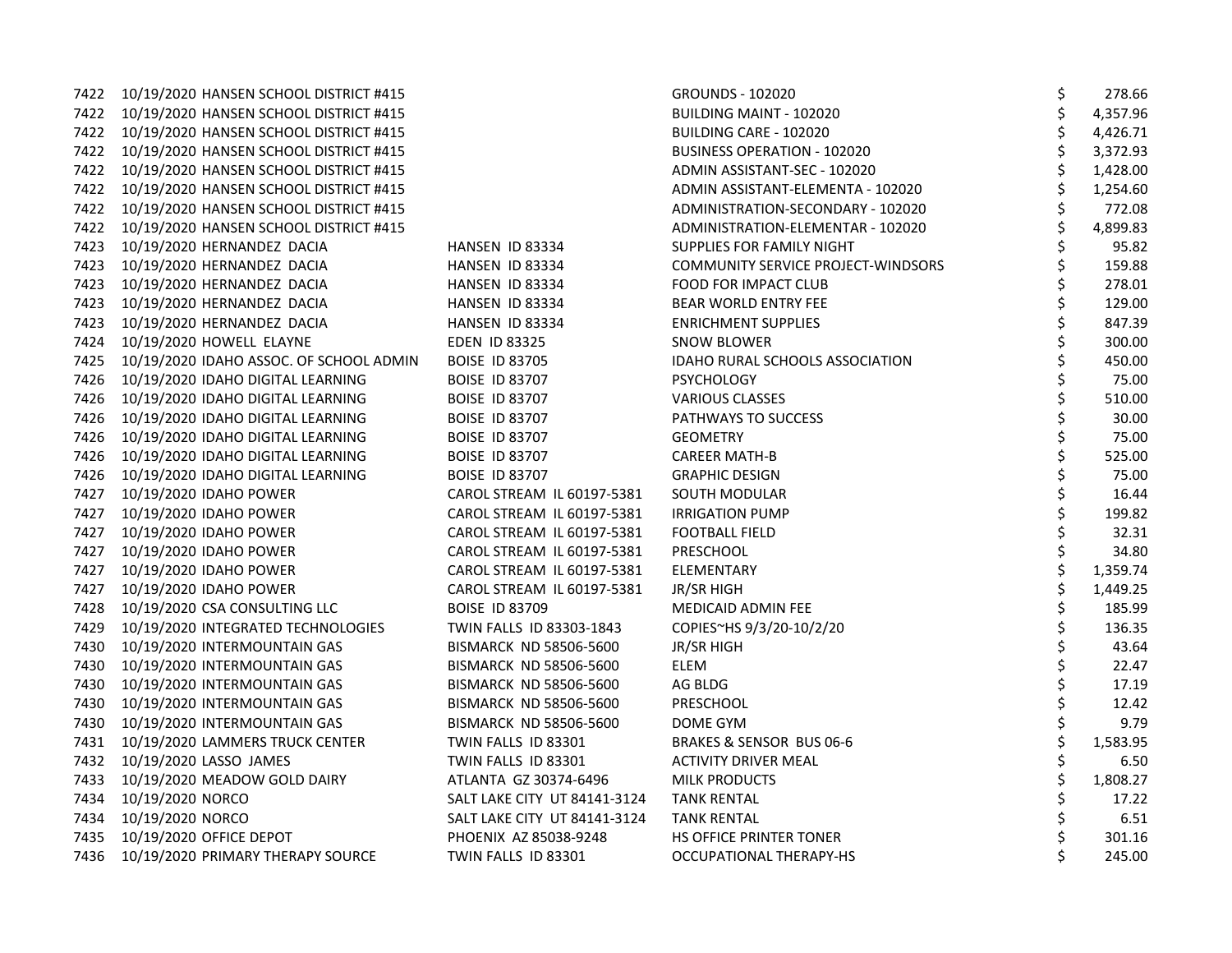|      | 7422 10/19/2020 HANSEN SCHOOL DISTRICT #415 |                               | <b>GROUNDS - 102020</b>            | \$<br>278.66   |
|------|---------------------------------------------|-------------------------------|------------------------------------|----------------|
|      | 7422 10/19/2020 HANSEN SCHOOL DISTRICT #415 |                               | <b>BUILDING MAINT - 102020</b>     | \$<br>4,357.96 |
|      | 7422 10/19/2020 HANSEN SCHOOL DISTRICT #415 |                               | BUILDING CARE - 102020             | \$<br>4,426.71 |
|      | 7422 10/19/2020 HANSEN SCHOOL DISTRICT #415 |                               | <b>BUSINESS OPERATION - 102020</b> | \$<br>3,372.93 |
| 7422 | 10/19/2020 HANSEN SCHOOL DISTRICT #415      |                               | ADMIN ASSISTANT-SEC - 102020       | \$<br>1,428.00 |
|      | 7422 10/19/2020 HANSEN SCHOOL DISTRICT #415 |                               | ADMIN ASSISTANT-ELEMENTA - 102020  | \$<br>1,254.60 |
|      | 7422 10/19/2020 HANSEN SCHOOL DISTRICT #415 |                               | ADMINISTRATION-SECONDARY - 102020  | \$<br>772.08   |
|      | 7422 10/19/2020 HANSEN SCHOOL DISTRICT #415 |                               | ADMINISTRATION-ELEMENTAR - 102020  | \$<br>4,899.83 |
| 7423 | 10/19/2020 HERNANDEZ DACIA                  | HANSEN ID 83334               | SUPPLIES FOR FAMILY NIGHT          | \$<br>95.82    |
| 7423 | 10/19/2020 HERNANDEZ DACIA                  | HANSEN ID 83334               | COMMUNITY SERVICE PROJECT-WINDSORS | \$<br>159.88   |
| 7423 | 10/19/2020 HERNANDEZ DACIA                  | HANSEN ID 83334               | FOOD FOR IMPACT CLUB               | \$<br>278.01   |
|      | 7423 10/19/2020 HERNANDEZ DACIA             | HANSEN ID 83334               | BEAR WORLD ENTRY FEE               | \$<br>129.00   |
|      | 7423 10/19/2020 HERNANDEZ DACIA             | HANSEN ID 83334               | <b>ENRICHMENT SUPPLIES</b>         | \$<br>847.39   |
| 7424 | 10/19/2020 HOWELL ELAYNE                    | <b>EDEN ID 83325</b>          | SNOW BLOWER                        | \$<br>300.00   |
| 7425 | 10/19/2020 IDAHO ASSOC. OF SCHOOL ADMIN     | <b>BOISE ID 83705</b>         | IDAHO RURAL SCHOOLS ASSOCIATION    | \$<br>450.00   |
| 7426 | 10/19/2020 IDAHO DIGITAL LEARNING           | <b>BOISE ID 83707</b>         | <b>PSYCHOLOGY</b>                  | \$<br>75.00    |
| 7426 | 10/19/2020 IDAHO DIGITAL LEARNING           | <b>BOISE ID 83707</b>         | <b>VARIOUS CLASSES</b>             | \$<br>510.00   |
|      | 7426 10/19/2020 IDAHO DIGITAL LEARNING      | <b>BOISE ID 83707</b>         | PATHWAYS TO SUCCESS                | \$<br>30.00    |
|      | 7426 10/19/2020 IDAHO DIGITAL LEARNING      | <b>BOISE ID 83707</b>         | <b>GEOMETRY</b>                    | \$<br>75.00    |
| 7426 | 10/19/2020 IDAHO DIGITAL LEARNING           | <b>BOISE ID 83707</b>         | <b>CAREER MATH-B</b>               | \$<br>525.00   |
|      | 7426 10/19/2020 IDAHO DIGITAL LEARNING      | <b>BOISE ID 83707</b>         | <b>GRAPHIC DESIGN</b>              | \$<br>75.00    |
| 7427 | 10/19/2020 IDAHO POWER                      | CAROL STREAM IL 60197-5381    | SOUTH MODULAR                      | \$<br>16.44    |
| 7427 | 10/19/2020 IDAHO POWER                      | CAROL STREAM IL 60197-5381    | <b>IRRIGATION PUMP</b>             | \$<br>199.82   |
|      | 7427 10/19/2020 IDAHO POWER                 | CAROL STREAM IL 60197-5381    | <b>FOOTBALL FIELD</b>              | \$<br>32.31    |
|      | 7427 10/19/2020 IDAHO POWER                 | CAROL STREAM IL 60197-5381    | <b>PRESCHOOL</b>                   | \$<br>34.80    |
| 7427 | 10/19/2020 IDAHO POWER                      | CAROL STREAM IL 60197-5381    | ELEMENTARY                         | \$<br>1,359.74 |
| 7427 | 10/19/2020 IDAHO POWER                      | CAROL STREAM IL 60197-5381    | <b>JR/SR HIGH</b>                  | \$<br>1,449.25 |
| 7428 | 10/19/2020 CSA CONSULTING LLC               | <b>BOISE ID 83709</b>         | MEDICAID ADMIN FEE                 | \$<br>185.99   |
| 7429 | 10/19/2020 INTEGRATED TECHNOLOGIES          | TWIN FALLS ID 83303-1843      | COPIES~HS 9/3/20-10/2/20           | \$<br>136.35   |
|      | 7430 10/19/2020 INTERMOUNTAIN GAS           | BISMARCK ND 58506-5600        | JR/SR HIGH                         | \$<br>43.64    |
|      | 7430 10/19/2020 INTERMOUNTAIN GAS           | <b>BISMARCK ND 58506-5600</b> | <b>ELEM</b>                        | \$<br>22.47    |
| 7430 | 10/19/2020 INTERMOUNTAIN GAS                | BISMARCK ND 58506-5600        | AG BLDG                            | \$<br>17.19    |
| 7430 | 10/19/2020 INTERMOUNTAIN GAS                | BISMARCK ND 58506-5600        | <b>PRESCHOOL</b>                   | \$<br>12.42    |
| 7430 | 10/19/2020 INTERMOUNTAIN GAS                | <b>BISMARCK ND 58506-5600</b> | DOME GYM                           | \$<br>9.79     |
|      | 7431 10/19/2020 LAMMERS TRUCK CENTER        | TWIN FALLS ID 83301           | BRAKES & SENSOR BUS 06-6           | \$<br>1,583.95 |
|      | 7432 10/19/2020 LASSO JAMES                 | TWIN FALLS ID 83301           | <b>ACTIVITY DRIVER MEAL</b>        | \$<br>6.50     |
|      | 7433 10/19/2020 MEADOW GOLD DAIRY           | ATLANTA GZ 30374-6496         | <b>MILK PRODUCTS</b>               | \$<br>1,808.27 |
| 7434 | 10/19/2020 NORCO                            | SALT LAKE CITY UT 84141-3124  | <b>TANK RENTAL</b>                 | \$<br>17.22    |
| 7434 | 10/19/2020 NORCO                            | SALT LAKE CITY UT 84141-3124  | <b>TANK RENTAL</b>                 | \$<br>6.51     |
|      | 7435 10/19/2020 OFFICE DEPOT                | PHOENIX AZ 85038-9248         | <b>HS OFFICE PRINTER TONER</b>     | \$<br>301.16   |
|      | 7436 10/19/2020 PRIMARY THERAPY SOURCE      | TWIN FALLS ID 83301           | OCCUPATIONAL THERAPY-HS            | \$<br>245.00   |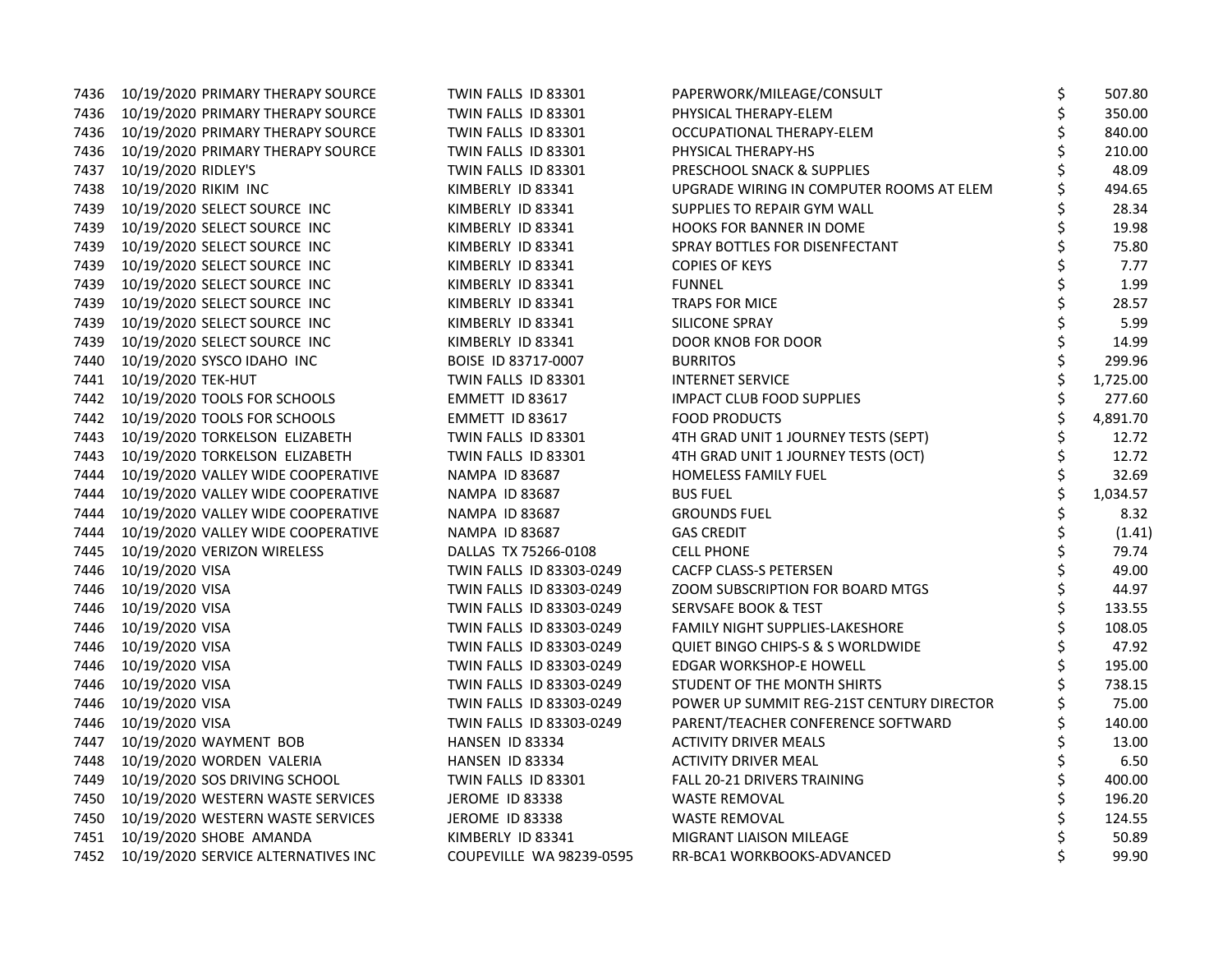|      | 7436 10/19/2020 PRIMARY THERAPY SOURCE   | TWIN FALLS ID 83301      | PAPERWORK/MILEAGE/CONSULT                 | \$<br>507.80   |
|------|------------------------------------------|--------------------------|-------------------------------------------|----------------|
|      | 7436 10/19/2020 PRIMARY THERAPY SOURCE   | TWIN FALLS ID 83301      | PHYSICAL THERAPY-ELEM                     | \$<br>350.00   |
|      | 7436 10/19/2020 PRIMARY THERAPY SOURCE   | TWIN FALLS ID 83301      | OCCUPATIONAL THERAPY-ELEM                 | \$<br>840.00   |
|      | 7436 10/19/2020 PRIMARY THERAPY SOURCE   | TWIN FALLS ID 83301      | PHYSICAL THERAPY-HS                       | \$<br>210.00   |
| 7437 | 10/19/2020 RIDLEY'S                      | TWIN FALLS ID 83301      | PRESCHOOL SNACK & SUPPLIES                | \$<br>48.09    |
|      | 7438 10/19/2020 RIKIM INC                | KIMBERLY ID 83341        | UPGRADE WIRING IN COMPUTER ROOMS AT ELEM  | 494.65         |
|      | 7439 10/19/2020 SELECT SOURCE INC        | KIMBERLY ID 83341        | SUPPLIES TO REPAIR GYM WALL               | 28.34          |
| 7439 | 10/19/2020 SELECT SOURCE INC             | KIMBERLY ID 83341        | <b>HOOKS FOR BANNER IN DOME</b>           | 19.98          |
| 7439 | 10/19/2020 SELECT SOURCE INC             | KIMBERLY ID 83341        | SPRAY BOTTLES FOR DISENFECTANT            | \$<br>75.80    |
| 7439 | 10/19/2020 SELECT SOURCE INC             | KIMBERLY ID 83341        | <b>COPIES OF KEYS</b>                     | 7.77           |
| 7439 | 10/19/2020 SELECT SOURCE INC             | KIMBERLY ID 83341        | <b>FUNNEL</b>                             | \$<br>1.99     |
|      | 7439 10/19/2020 SELECT SOURCE INC        | KIMBERLY ID 83341        | TRAPS FOR MICE                            | \$<br>28.57    |
|      | 7439 10/19/2020 SELECT SOURCE INC        | KIMBERLY ID 83341        | SILICONE SPRAY                            | 5.99           |
| 7439 | 10/19/2020 SELECT SOURCE INC             | KIMBERLY ID 83341        | <b>DOOR KNOB FOR DOOR</b>                 | \$<br>14.99    |
|      | 7440 10/19/2020 SYSCO IDAHO INC          | BOISE ID 83717-0007      | <b>BURRITOS</b>                           | \$<br>299.96   |
|      | 7441 10/19/2020 TEK-HUT                  | TWIN FALLS ID 83301      | <b>INTERNET SERVICE</b>                   | \$<br>1,725.00 |
|      | 7442 10/19/2020 TOOLS FOR SCHOOLS        | EMMETT ID 83617          | <b>IMPACT CLUB FOOD SUPPLIES</b>          | \$<br>277.60   |
|      | 7442 10/19/2020 TOOLS FOR SCHOOLS        | EMMETT ID 83617          | <b>FOOD PRODUCTS</b>                      | \$<br>4,891.70 |
|      | 7443 10/19/2020 TORKELSON ELIZABETH      | TWIN FALLS ID 83301      | 4TH GRAD UNIT 1 JOURNEY TESTS (SEPT)      | 12.72          |
| 7443 | 10/19/2020 TORKELSON ELIZABETH           | TWIN FALLS ID 83301      | 4TH GRAD UNIT 1 JOURNEY TESTS (OCT)       | \$<br>12.72    |
| 7444 | 10/19/2020 VALLEY WIDE COOPERATIVE       | NAMPA ID 83687           | <b>HOMELESS FAMILY FUEL</b>               | \$<br>32.69    |
| 7444 | 10/19/2020 VALLEY WIDE COOPERATIVE       | <b>NAMPA ID 83687</b>    | <b>BUS FUEL</b>                           | \$<br>1,034.57 |
| 7444 | 10/19/2020 VALLEY WIDE COOPERATIVE       | NAMPA ID 83687           | <b>GROUNDS FUEL</b>                       | \$<br>8.32     |
|      | 7444 10/19/2020 VALLEY WIDE COOPERATIVE  | <b>NAMPA ID 83687</b>    | <b>GAS CREDIT</b>                         | (1.41)         |
|      | 7445 10/19/2020 VERIZON WIRELESS         | DALLAS TX 75266-0108     | <b>CELL PHONE</b>                         | \$<br>79.74    |
| 7446 | 10/19/2020 VISA                          | TWIN FALLS ID 83303-0249 | CACFP CLASS-S PETERSEN                    | \$<br>49.00    |
| 7446 | 10/19/2020 VISA                          | TWIN FALLS ID 83303-0249 | ZOOM SUBSCRIPTION FOR BOARD MTGS          | \$<br>44.97    |
| 7446 | 10/19/2020 VISA                          | TWIN FALLS ID 83303-0249 | <b>SERVSAFE BOOK &amp; TEST</b>           | \$<br>133.55   |
|      | 7446 10/19/2020 VISA                     | TWIN FALLS ID 83303-0249 | <b>FAMILY NIGHT SUPPLIES-LAKESHORE</b>    | \$<br>108.05   |
|      | 7446 10/19/2020 VISA                     | TWIN FALLS ID 83303-0249 | QUIET BINGO CHIPS-S & S WORLDWIDE         | 47.92          |
| 7446 | 10/19/2020 VISA                          | TWIN FALLS ID 83303-0249 | EDGAR WORKSHOP-E HOWELL                   | \$<br>195.00   |
| 7446 | 10/19/2020 VISA                          | TWIN FALLS ID 83303-0249 | STUDENT OF THE MONTH SHIRTS               | 738.15         |
| 7446 | 10/19/2020 VISA                          | TWIN FALLS ID 83303-0249 | POWER UP SUMMIT REG-21ST CENTURY DIRECTOR | 75.00          |
| 7446 | 10/19/2020 VISA                          | TWIN FALLS ID 83303-0249 | PARENT/TEACHER CONFERENCE SOFTWARD        | \$<br>140.00   |
| 7447 | 10/19/2020 WAYMENT BOB                   | HANSEN ID 83334          | <b>ACTIVITY DRIVER MEALS</b>              | \$<br>13.00    |
|      | 7448 10/19/2020 WORDEN VALERIA           | HANSEN ID 83334          | <b>ACTIVITY DRIVER MEAL</b>               | 6.50           |
| 7449 | 10/19/2020 SOS DRIVING SCHOOL            | TWIN FALLS ID 83301      | FALL 20-21 DRIVERS TRAINING               | \$<br>400.00   |
|      | 7450 10/19/2020 WESTERN WASTE SERVICES   | JEROME ID 83338          | <b>WASTE REMOVAL</b>                      | \$<br>196.20   |
|      | 7450 10/19/2020 WESTERN WASTE SERVICES   | JEROME ID 83338          | <b>WASTE REMOVAL</b>                      | 124.55         |
|      | 7451 10/19/2020 SHOBE AMANDA             | KIMBERLY ID 83341        | MIGRANT LIAISON MILEAGE                   | \$<br>50.89    |
|      | 7452 10/19/2020 SERVICE ALTERNATIVES INC | COUPEVILLE WA 98239-0595 | RR-BCA1 WORKBOOKS-ADVANCED                | \$<br>99.90    |